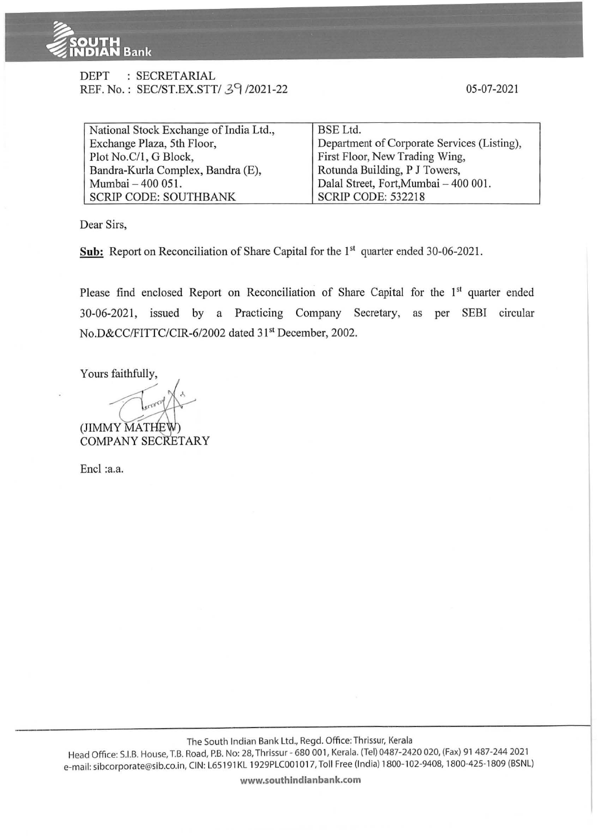

## DEPT : SECRETARIAL REF. No.: SEC/ST.EX.STT/ 39/2021-22

| National Stock Exchange of India Ltd., | <b>BSE</b> Ltd.                             |
|----------------------------------------|---------------------------------------------|
| Exchange Plaza, 5th Floor,             | Department of Corporate Services (Listing), |
| Plot No.C/1, G Block,                  | First Floor, New Trading Wing,              |
| Bandra-Kurla Complex, Bandra (E),      | Rotunda Building, P J Towers,               |
| Mumbai - 400 051.                      | Dalal Street, Fort, Mumbai - 400 001.       |
| <b>SCRIP CODE: SOUTHBANK</b>           | <b>SCRIP CODE: 532218</b>                   |

Dear Sirs,

**Sub:** Report on Reconciliation of Share Capital for the 1<sup>st</sup> quarter ended 30-06-2021.

Please find enclosed Report on Reconciliation of Share Capital for the 1<sup>st</sup> quarter ended 30-06-2021 , issued by a Practicing Company Secretary, as per SEBI circular No.D&CC/FITTC/CIR-6/2002 dated 31<sup>st</sup> December, 2002.

Yours faithfully,

(JIMMY MAT COMPANY SECRETARY

Encl :a.a.

The South Indian Bank Ltd., Regd. Office: Thrissur, Kerala

Head Office: S.I.B. House, T.B. Road, P.B. No: 28, Thrissur - 680 001 , Kerala. (Tel) 0487-2420 020, (Fax) 91 487-244 2021 e-mail: sibcorporate@sib.co.in, CIN: L65 191 KL 1929PLC001 01 7, Toll Free (India) 1800-102-9408, 1800-425-1809 (BSNL)

**www.southindianbank.com**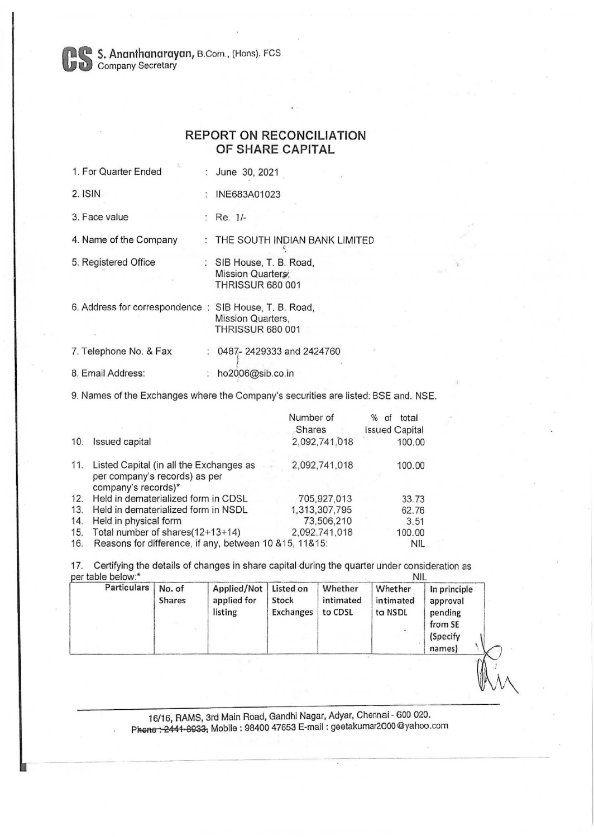**Company Secretary** B.Com., (Hons). FCS<br>
Company Secretary

## **REPORT ON RECONCILIATION OF SHARE CAPITAL**

| 1. For Quarter Ended                                  | : June 30, 2021                                                          |
|-------------------------------------------------------|--------------------------------------------------------------------------|
| 2. ISIN                                               | INE683A01023                                                             |
| 3. Face value                                         | : Re. $1/-$                                                              |
| 4. Name of the Company                                | : THE SOUTH INDIAN BANK LIMITED                                          |
| 5. Registered Office                                  | : SIB House, T. B. Road,<br>Mission Quarters;<br><b>THRISSUR 680 001</b> |
| 6. Address for correspondence: SIB House, T. B. Road, | Mission Quarters,<br><b>THRISSUR 680 001</b>                             |
| 7. Telephone No. & Fax                                | : 0487-2429333 and 2424760                                               |
| 8. Email Address:                                     | ho2006@sib.co.in                                                         |
|                                                       |                                                                          |

9. Names of the Exchanges where the Company's securities are listed: BSE and. NSE.

|     |                                                                                                 | Number of     | $\%$<br>total<br>of   |
|-----|-------------------------------------------------------------------------------------------------|---------------|-----------------------|
|     |                                                                                                 | Shares        | <b>Issued Capital</b> |
| 10. | <b>Issued capital</b>                                                                           | 2.092,741.018 | 100.00                |
| 11. | Listed Capital (in all the Exchanges as<br>per company's records) as per<br>company's records)* | 2,092,741,018 | 100.00                |
| 12. | Held in dematerialized form in CDSL                                                             | 705,927,013   | 33.73                 |
| 13. | Held in dematerialized form in NSDL                                                             | 1,313,307,795 | 62.76                 |
| 14. | Held in physical form                                                                           | 73,506,210    | 3.51                  |
| 15. | Total number of shares(12+13+14)                                                                | 2,092,741,018 | 100.00                |
| 16. | Reasons for difference, if any, between 10 & 15, 11& 15:                                        |               | NIL                   |

17. Certifying the details of changes in share capital during the quarter under consideration as per table below:\* NIL

| <b>Particulars</b> |
|--------------------|
|--------------------|

16/16, RAMS, 3rd Main Road, Gandhi Nagar, Adyar, Chennai - 600 020. Phone : 2441 8933, Mobile : 98400 47653 E-mail : geetakumar2000 @yahoo.com  $\mathbb{W}$  $^{\prime\prime}$ VV